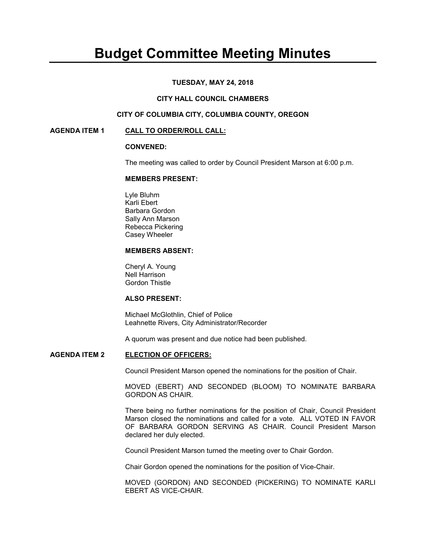# **Budget Committee Meeting Minutes**

## **TUESDAY, MAY 24, 2018**

#### **CITY HALL COUNCIL CHAMBERS**

# **CITY OF COLUMBIA CITY, COLUMBIA COUNTY, OREGON**

#### **AGENDA ITEM 1 CALL TO ORDER/ROLL CALL:**

#### **CONVENED:**

The meeting was called to order by Council President Marson at 6:00 p.m.

#### **MEMBERS PRESENT:**

 Lyle Bluhm Karli Ebert Barbara Gordon Sally Ann Marson Rebecca Pickering Casey Wheeler

#### **MEMBERS ABSENT:**

 Cheryl A. Young Nell Harrison Gordon Thistle

## **ALSO PRESENT:**

Michael McGlothlin, Chief of Police Leahnette Rivers, City Administrator/Recorder

A quorum was present and due notice had been published.

#### **AGENDA ITEM 2 ELECTION OF OFFICERS:**

Council President Marson opened the nominations for the position of Chair.

MOVED (EBERT) AND SECONDED (BLOOM) TO NOMINATE BARBARA GORDON AS CHAIR.

There being no further nominations for the position of Chair, Council President Marson closed the nominations and called for a vote. ALL VOTED IN FAVOR OF BARBARA GORDON SERVING AS CHAIR. Council President Marson declared her duly elected.

Council President Marson turned the meeting over to Chair Gordon.

Chair Gordon opened the nominations for the position of Vice-Chair.

MOVED (GORDON) AND SECONDED (PICKERING) TO NOMINATE KARLI EBERT AS VICE-CHAIR.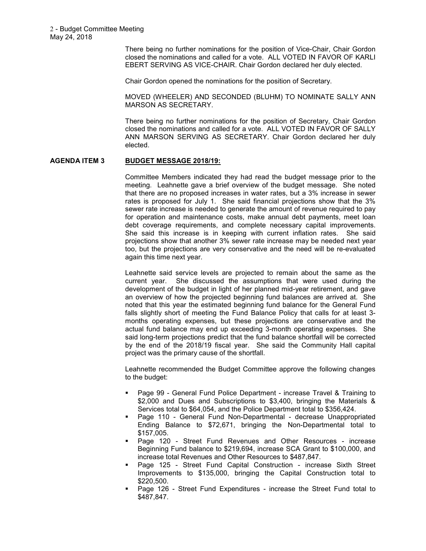There being no further nominations for the position of Vice-Chair, Chair Gordon closed the nominations and called for a vote. ALL VOTED IN FAVOR OF KARLI EBERT SERVING AS VICE-CHAIR. Chair Gordon declared her duly elected.

Chair Gordon opened the nominations for the position of Secretary.

MOVED (WHEELER) AND SECONDED (BLUHM) TO NOMINATE SALLY ANN MARSON AS SECRETARY.

There being no further nominations for the position of Secretary, Chair Gordon closed the nominations and called for a vote. ALL VOTED IN FAVOR OF SALLY ANN MARSON SERVING AS SECRETARY. Chair Gordon declared her duly elected.

## **AGENDA ITEM 3 BUDGET MESSAGE 2018/19:**

Committee Members indicated they had read the budget message prior to the meeting. Leahnette gave a brief overview of the budget message. She noted that there are no proposed increases in water rates, but a 3% increase in sewer rates is proposed for July 1. She said financial projections show that the 3% sewer rate increase is needed to generate the amount of revenue required to pay for operation and maintenance costs, make annual debt payments, meet loan debt coverage requirements, and complete necessary capital improvements. She said this increase is in keeping with current inflation rates. She said projections show that another 3% sewer rate increase may be needed next year too, but the projections are very conservative and the need will be re-evaluated again this time next year.

Leahnette said service levels are projected to remain about the same as the current year. She discussed the assumptions that were used during the development of the budget in light of her planned mid-year retirement, and gave an overview of how the projected beginning fund balances are arrived at. She noted that this year the estimated beginning fund balance for the General Fund falls slightly short of meeting the Fund Balance Policy that calls for at least 3 months operating expenses, but these projections are conservative and the actual fund balance may end up exceeding 3-month operating expenses. She said long-term projections predict that the fund balance shortfall will be corrected by the end of the 2018/19 fiscal year. She said the Community Hall capital project was the primary cause of the shortfall.

Leahnette recommended the Budget Committee approve the following changes to the budget:

- Page 99 General Fund Police Department increase Travel & Training to \$2,000 and Dues and Subscriptions to \$3,400, bringing the Materials & Services total to \$64,054, and the Police Department total to \$356,424.
- Page 110 General Fund Non-Departmental decrease Unappropriated Ending Balance to \$72,671, bringing the Non-Departmental total to \$157,005.
- Page 120 Street Fund Revenues and Other Resources increase Beginning Fund balance to \$219,694, increase SCA Grant to \$100,000, and increase total Revenues and Other Resources to \$487,847.
- Page 125 Street Fund Capital Construction increase Sixth Street Improvements to \$135,000, bringing the Capital Construction total to \$220,500.
- Page 126 Street Fund Expenditures increase the Street Fund total to \$487,847.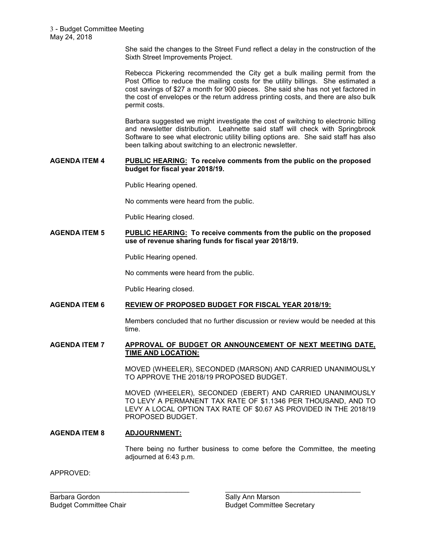She said the changes to the Street Fund reflect a delay in the construction of the Sixth Street Improvements Project.

Rebecca Pickering recommended the City get a bulk mailing permit from the Post Office to reduce the mailing costs for the utility billings. She estimated a cost savings of \$27 a month for 900 pieces. She said she has not yet factored in the cost of envelopes or the return address printing costs, and there are also bulk permit costs.

Barbara suggested we might investigate the cost of switching to electronic billing and newsletter distribution. Leahnette said staff will check with Springbrook Software to see what electronic utility billing options are. She said staff has also been talking about switching to an electronic newsletter.

## **AGENDA ITEM 4 PUBLIC HEARING: To receive comments from the public on the proposed budget for fiscal year 2018/19.**

Public Hearing opened.

No comments were heard from the public.

Public Hearing closed.

## **AGENDA ITEM 5 PUBLIC HEARING: To receive comments from the public on the proposed use of revenue sharing funds for fiscal year 2018/19.**

Public Hearing opened.

No comments were heard from the public.

Public Hearing closed.

## **AGENDA ITEM 6 REVIEW OF PROPOSED BUDGET FOR FISCAL YEAR 2018/19:**

Members concluded that no further discussion or review would be needed at this time.

## **AGENDA ITEM 7 APPROVAL OF BUDGET OR ANNOUNCEMENT OF NEXT MEETING DATE, TIME AND LOCATION:**

 $\_$  , and the set of the set of the set of the set of the set of the set of the set of the set of the set of the set of the set of the set of the set of the set of the set of the set of the set of the set of the set of th

MOVED (WHEELER), SECONDED (MARSON) AND CARRIED UNANIMOUSLY TO APPROVE THE 2018/19 PROPOSED BUDGET.

MOVED (WHEELER), SECONDED (EBERT) AND CARRIED UNANIMOUSLY TO LEVY A PERMANENT TAX RATE OF \$1.1346 PER THOUSAND, AND TO LEVY A LOCAL OPTION TAX RATE OF \$0.67 AS PROVIDED IN THE 2018/19 PROPOSED BUDGET.

# **AGENDA ITEM 8 ADJOURNMENT:**

There being no further business to come before the Committee, the meeting adjourned at 6:43 p.m.

APPROVED:

Barbara Gordon **Sally Ann Marson** Sally Ann Marson

Budget Committee Chair **Budget Committee Chair** Budget Committee Secretary